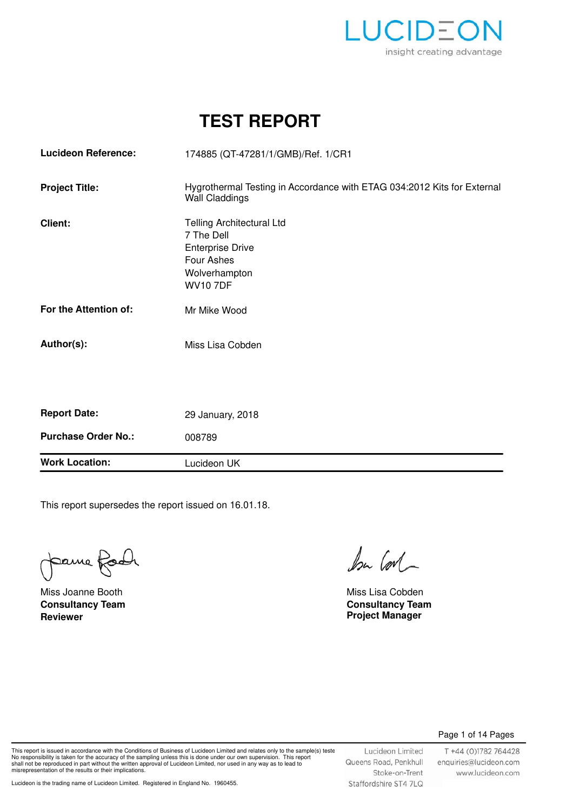

# **TEST REPORT**

| <b>Work Location:</b>      | Lucideon UK                                                                                                                 |  |  |
|----------------------------|-----------------------------------------------------------------------------------------------------------------------------|--|--|
| <b>Purchase Order No.:</b> | 008789                                                                                                                      |  |  |
| <b>Report Date:</b>        | 29 January, 2018                                                                                                            |  |  |
|                            |                                                                                                                             |  |  |
| Author(s):                 | Miss Lisa Cobden                                                                                                            |  |  |
| For the Attention of:      | Mr Mike Wood                                                                                                                |  |  |
| Client:                    | <b>Telling Architectural Ltd</b><br>7 The Dell<br><b>Enterprise Drive</b><br>Four Ashes<br>Wolverhampton<br><b>WV10 7DF</b> |  |  |
| <b>Project Title:</b>      | Hygrothermal Testing in Accordance with ETAG 034:2012 Kits for External<br><b>Wall Claddings</b>                            |  |  |
| <b>Lucideon Reference:</b> | 174885 (QT-47281/1/GMB)/Ref. 1/CR1                                                                                          |  |  |

This report supersedes the report issued on 16.01.18.

pame foot

**Reviewer Project Manager** Miss Joanne Booth Miss Lisa Cobden **Consultancy Team**

 $b$ u Corl

**Consultancy Team**

#### Page 1 of 14 Pages

This report is issued in accordance with the Conditions of Business of Lucideon Limited and relates only to the sample(s) teste<br>No responsibility is taken for the accuracy of the sampling unless this is done under our own misrepresentation of the results or their implications.

Lucideon Limited Queens Road, Penkhull Stoke-on-Trent Staffordshire ST4 7LQ

T +44 (0)1782 764428 enquiries@lucideon.com www.lucideon.com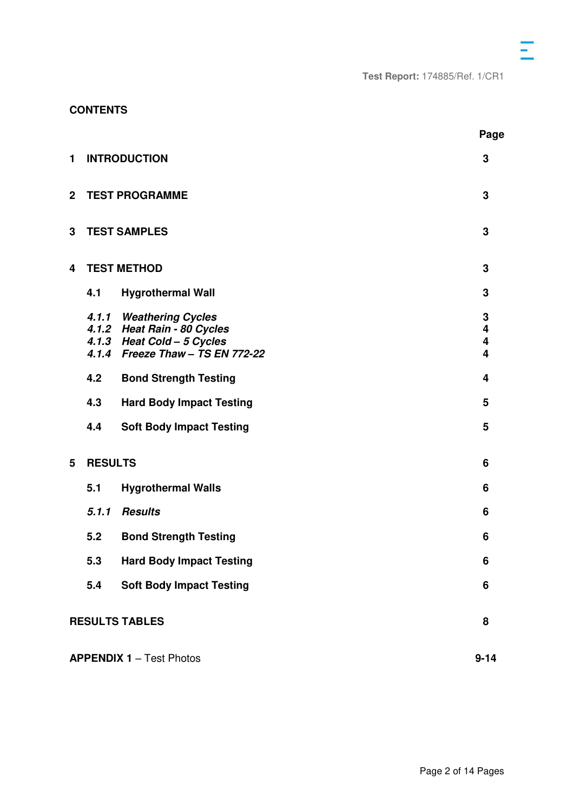# **CONTENTS**

|                         |                                             |                                                                                                                          | Page                                             |  |  |
|-------------------------|---------------------------------------------|--------------------------------------------------------------------------------------------------------------------------|--------------------------------------------------|--|--|
| 1                       | <b>INTRODUCTION</b>                         |                                                                                                                          |                                                  |  |  |
| $\overline{\mathbf{2}}$ | <b>TEST PROGRAMME</b>                       |                                                                                                                          |                                                  |  |  |
| 3                       | <b>TEST SAMPLES</b>                         |                                                                                                                          |                                                  |  |  |
| 4                       | <b>TEST METHOD</b>                          |                                                                                                                          |                                                  |  |  |
|                         | 4.1                                         | <b>Hygrothermal Wall</b>                                                                                                 | 3                                                |  |  |
|                         |                                             | 4.1.1 Weathering Cycles<br>4.1.2 Heat Rain - 80 Cycles<br>4.1.3 Heat Cold - 5 Cycles<br>4.1.4 Freeze Thaw - TS EN 772-22 | $\mathbf 3$<br>4<br>$\overline{\mathbf{4}}$<br>4 |  |  |
|                         | 4.2                                         | <b>Bond Strength Testing</b>                                                                                             | 4                                                |  |  |
|                         | 4.3                                         | <b>Hard Body Impact Testing</b>                                                                                          | 5                                                |  |  |
|                         | 4.4                                         | <b>Soft Body Impact Testing</b>                                                                                          | 5                                                |  |  |
| 5                       | <b>RESULTS</b>                              |                                                                                                                          | 6                                                |  |  |
|                         | 5.1                                         | <b>Hygrothermal Walls</b>                                                                                                | 6                                                |  |  |
|                         | 5.1.1                                       | <b>Results</b>                                                                                                           | 6                                                |  |  |
|                         | 5.2                                         | <b>Bond Strength Testing</b>                                                                                             | 6                                                |  |  |
|                         | 5.3                                         | <b>Hard Body Impact Testing</b>                                                                                          | 6                                                |  |  |
|                         | 5.4                                         | <b>Soft Body Impact Testing</b>                                                                                          | 6                                                |  |  |
|                         | <b>RESULTS TABLES</b>                       |                                                                                                                          |                                                  |  |  |
|                         | <b>APPENDIX 1 - Test Photos</b><br>$9 - 14$ |                                                                                                                          |                                                  |  |  |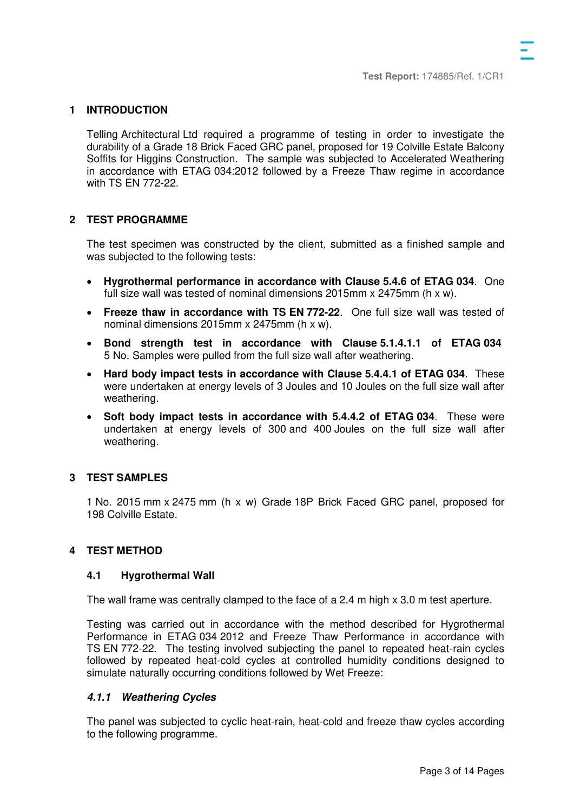### **1 INTRODUCTION**

Telling Architectural Ltd required a programme of testing in order to investigate the durability of a Grade 18 Brick Faced GRC panel, proposed for 19 Colville Estate Balcony Soffits for Higgins Construction. The sample was subjected to Accelerated Weathering in accordance with ETAG 034:2012 followed by a Freeze Thaw regime in accordance with TS EN 772-22.

#### **2 TEST PROGRAMME**

The test specimen was constructed by the client, submitted as a finished sample and was subjected to the following tests:

- **Hygrothermal performance in accordance with Clause 5.4.6 of ETAG 034**. One full size wall was tested of nominal dimensions  $2015$ mm x  $2475$ mm (h x w).
- **Freeze thaw in accordance with TS EN 772-22**. One full size wall was tested of nominal dimensions 2015mm x 2475mm (h x w).
- **Bond strength test in accordance with Clause 5.1.4.1.1 of ETAG 034**  5 No. Samples were pulled from the full size wall after weathering.
- **Hard body impact tests in accordance with Clause 5.4.4.1 of ETAG 034**. These were undertaken at energy levels of 3 Joules and 10 Joules on the full size wall after weathering.
- **Soft body impact tests in accordance with 5.4.4.2 of ETAG 034**. These were undertaken at energy levels of 300 and 400 Joules on the full size wall after weathering.

#### **3 TEST SAMPLES**

1 No. 2015 mm x 2475 mm (h x w) Grade 18P Brick Faced GRC panel, proposed for 198 Colville Estate.

# **4 TEST METHOD**

#### **4.1 Hygrothermal Wall**

The wall frame was centrally clamped to the face of a 2.4 m high x 3.0 m test aperture.

Testing was carried out in accordance with the method described for Hygrothermal Performance in ETAG 034 2012 and Freeze Thaw Performance in accordance with TS EN 772-22. The testing involved subjecting the panel to repeated heat-rain cycles followed by repeated heat-cold cycles at controlled humidity conditions designed to simulate naturally occurring conditions followed by Wet Freeze:

#### **4.1.1 Weathering Cycles**

The panel was subjected to cyclic heat-rain, heat-cold and freeze thaw cycles according to the following programme.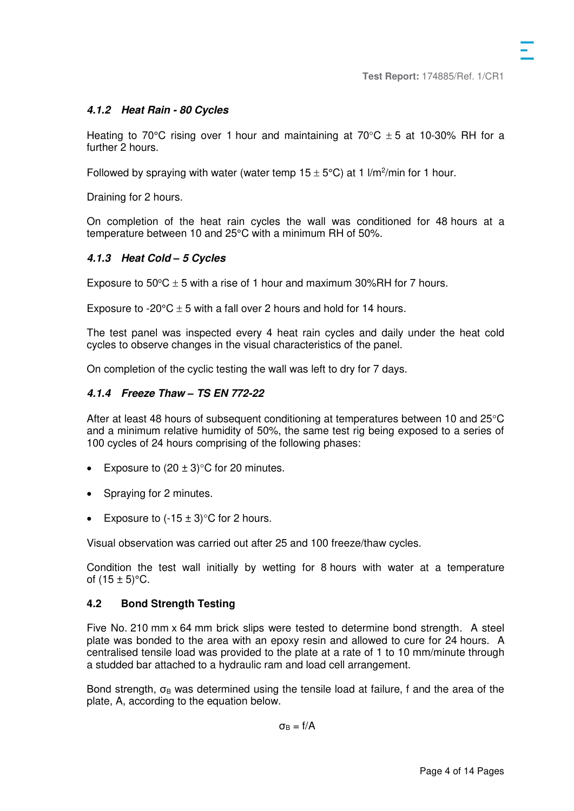Heating to 70°C rising over 1 hour and maintaining at 70°C  $\pm$  5 at 10-30% RH for a further 2 hours.

Followed by spraying with water (water temp  $15 \pm 5^{\circ}$ C) at 1 l/m<sup>2</sup>/min for 1 hour.

Draining for 2 hours.

On completion of the heat rain cycles the wall was conditioned for 48 hours at a temperature between 10 and 25°C with a minimum RH of 50%.

# **4.1.3 Heat Cold** *–* **5 Cycles**

Exposure to  $50^{\circ}$ C  $\pm$  5 with a rise of 1 hour and maximum 30%RH for 7 hours.

Exposure to -20 $\degree$ C  $\pm$  5 with a fall over 2 hours and hold for 14 hours.

The test panel was inspected every 4 heat rain cycles and daily under the heat cold cycles to observe changes in the visual characteristics of the panel.

On completion of the cyclic testing the wall was left to dry for 7 days.

# **4.1.4 Freeze Thaw** *–* **TS EN 772-22**

After at least 48 hours of subsequent conditioning at temperatures between 10 and  $25^{\circ}$ C and a minimum relative humidity of 50%, the same test rig being exposed to a series of 100 cycles of 24 hours comprising of the following phases:

- Exposure to  $(20 \pm 3)$ °C for 20 minutes.
- Spraying for 2 minutes.
- Exposure to  $(-15 \pm 3)$  C for 2 hours.

Visual observation was carried out after 25 and 100 freeze/thaw cycles.

Condition the test wall initially by wetting for 8 hours with water at a temperature of  $(15 \pm 5)$ °C.

# **4.2 Bond Strength Testing**

Five No. 210 mm x 64 mm brick slips were tested to determine bond strength. A steel plate was bonded to the area with an epoxy resin and allowed to cure for 24 hours. A centralised tensile load was provided to the plate at a rate of 1 to 10 mm/minute through a studded bar attached to a hydraulic ram and load cell arrangement.

Bond strength,  $\sigma_B$  was determined using the tensile load at failure, f and the area of the plate, A, according to the equation below.

 $\sigma_{\rm B} = f/A$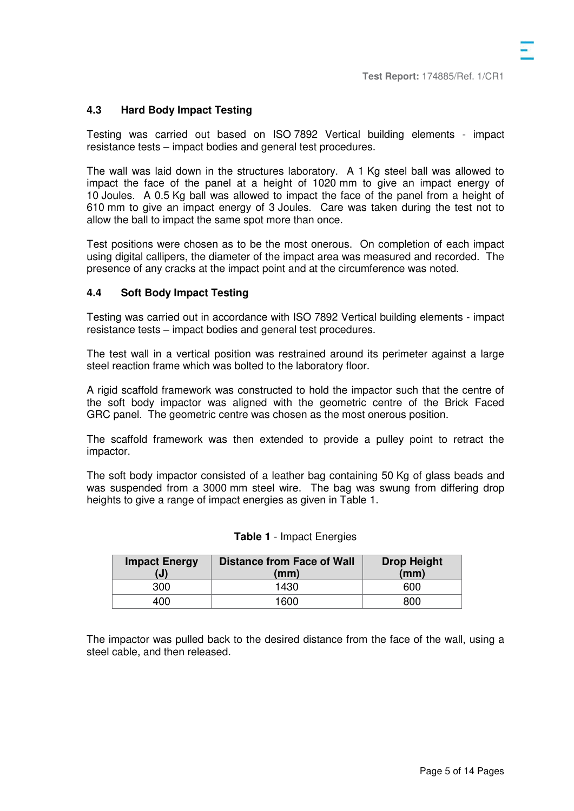# **4.3 Hard Body Impact Testing**

Testing was carried out based on ISO 7892 Vertical building elements - impact resistance tests – impact bodies and general test procedures.

The wall was laid down in the structures laboratory. A 1 Kg steel ball was allowed to impact the face of the panel at a height of 1020 mm to give an impact energy of 10 Joules. A 0.5 Kg ball was allowed to impact the face of the panel from a height of 610 mm to give an impact energy of 3 Joules. Care was taken during the test not to allow the ball to impact the same spot more than once.

Test positions were chosen as to be the most onerous. On completion of each impact using digital callipers, the diameter of the impact area was measured and recorded. The presence of any cracks at the impact point and at the circumference was noted.

# **4.4 Soft Body Impact Testing**

Testing was carried out in accordance with ISO 7892 Vertical building elements - impact resistance tests – impact bodies and general test procedures.

The test wall in a vertical position was restrained around its perimeter against a large steel reaction frame which was bolted to the laboratory floor.

A rigid scaffold framework was constructed to hold the impactor such that the centre of the soft body impactor was aligned with the geometric centre of the Brick Faced GRC panel. The geometric centre was chosen as the most onerous position.

The scaffold framework was then extended to provide a pulley point to retract the impactor.

The soft body impactor consisted of a leather bag containing 50 Kg of glass beads and was suspended from a 3000 mm steel wire. The bag was swung from differing drop heights to give a range of impact energies as given in Table 1.

| <b>Impact Energy</b><br>$\mathbf{(J)}$ | <b>Distance from Face of Wall</b><br>(mm) | <b>Drop Height</b><br>(mm) |
|----------------------------------------|-------------------------------------------|----------------------------|
| 300                                    | 1430                                      | 600                        |
| 400                                    | 1600                                      | 800                        |

| Table 1 - Impact Energies |  |
|---------------------------|--|
|---------------------------|--|

The impactor was pulled back to the desired distance from the face of the wall, using a steel cable, and then released.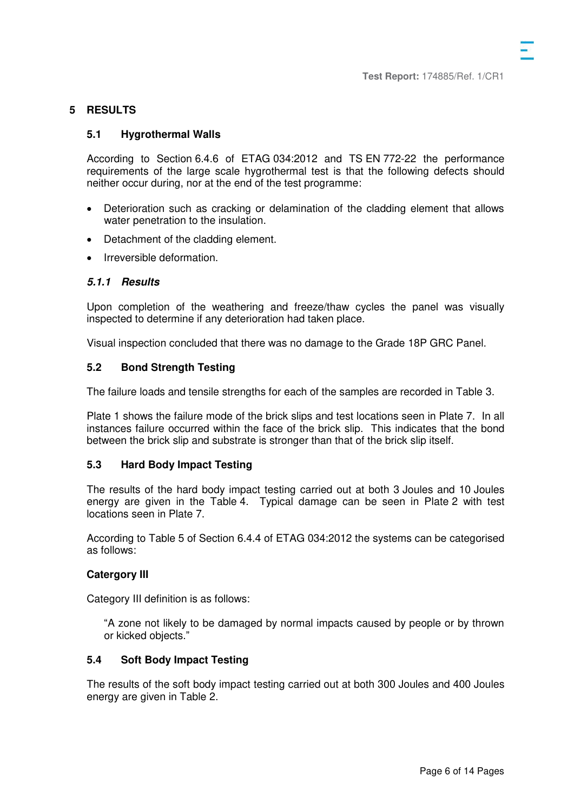#### **5 RESULTS**

#### **5.1 Hygrothermal Walls**

According to Section 6.4.6 of ETAG 034:2012 and TS EN 772-22 the performance requirements of the large scale hygrothermal test is that the following defects should neither occur during, nor at the end of the test programme:

- Deterioration such as cracking or delamination of the cladding element that allows water penetration to the insulation.
- Detachment of the cladding element.
- Irreversible deformation.

# **5.1.1 Results**

Upon completion of the weathering and freeze/thaw cycles the panel was visually inspected to determine if any deterioration had taken place.

Visual inspection concluded that there was no damage to the Grade 18P GRC Panel.

#### **5.2 Bond Strength Testing**

The failure loads and tensile strengths for each of the samples are recorded in Table 3.

Plate 1 shows the failure mode of the brick slips and test locations seen in Plate 7. In all instances failure occurred within the face of the brick slip. This indicates that the bond between the brick slip and substrate is stronger than that of the brick slip itself.

#### **5.3 Hard Body Impact Testing**

The results of the hard body impact testing carried out at both 3 Joules and 10 Joules energy are given in the Table 4. Typical damage can be seen in Plate 2 with test locations seen in Plate 7.

According to Table 5 of Section 6.4.4 of ETAG 034:2012 the systems can be categorised as follows:

#### **Catergory III**

Category III definition is as follows:

"A zone not likely to be damaged by normal impacts caused by people or by thrown or kicked objects."

#### **5.4 Soft Body Impact Testing**

The results of the soft body impact testing carried out at both 300 Joules and 400 Joules energy are given in Table 2.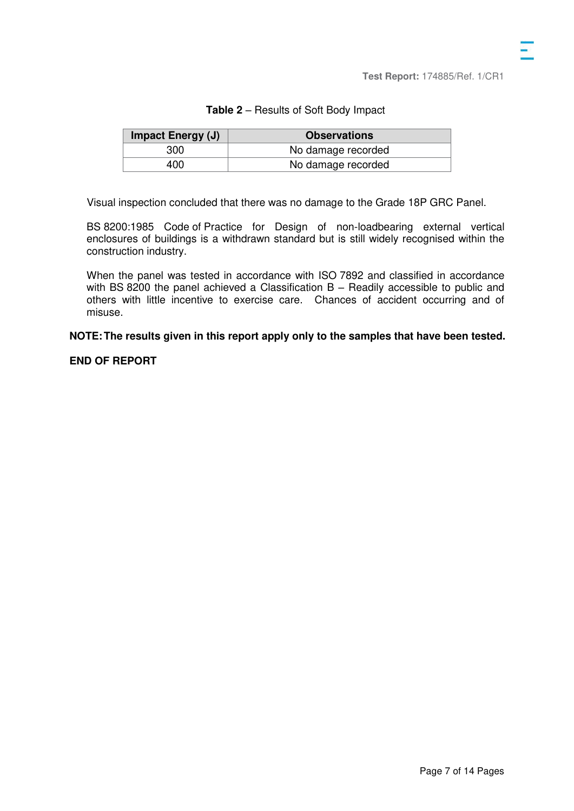| Impact Energy (J) | <b>Observations</b> |
|-------------------|---------------------|
| 300               | No damage recorded  |
| 400               | No damage recorded  |

Visual inspection concluded that there was no damage to the Grade 18P GRC Panel.

BS 8200:1985 Code of Practice for Design of non-loadbearing external vertical enclosures of buildings is a withdrawn standard but is still widely recognised within the construction industry.

When the panel was tested in accordance with ISO 7892 and classified in accordance with BS 8200 the panel achieved a Classification B – Readily accessible to public and others with little incentive to exercise care. Chances of accident occurring and of misuse.

**NOTE: The results given in this report apply only to the samples that have been tested.**

## **END OF REPORT**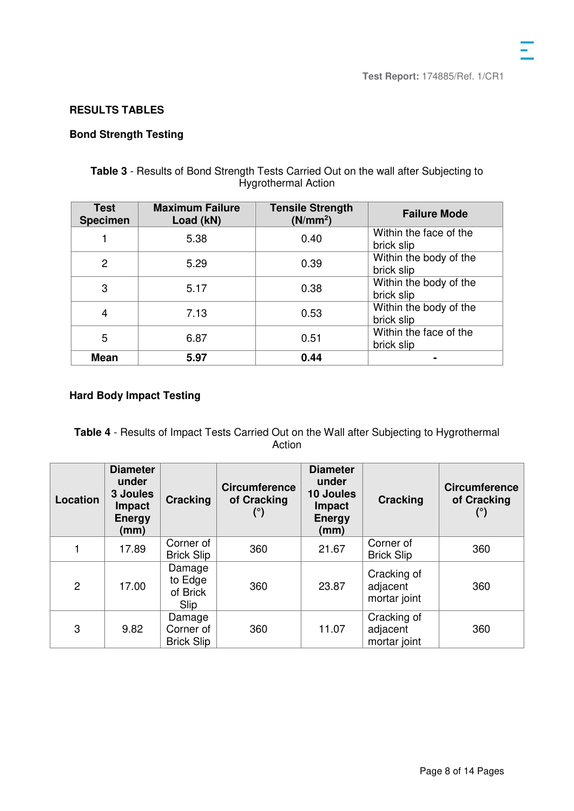# **RESULTS TABLES**

# **Bond Strength Testing**

# **Table 3** - Results of Bond Strength Tests Carried Out on the wall after Subjecting to Hygrothermal Action

| <b>Test</b><br><b>Specimen</b> | <b>Maximum Failure</b><br>Load (kN) | <b>Tensile Strength</b><br>(N/mm <sup>2</sup> ) | <b>Failure Mode</b>                  |
|--------------------------------|-------------------------------------|-------------------------------------------------|--------------------------------------|
|                                | 5.38                                | 0.40                                            | Within the face of the<br>brick slip |
| $\overline{2}$                 | 5.29                                | 0.39                                            | Within the body of the<br>brick slip |
| 3                              | 5.17                                | 0.38                                            | Within the body of the<br>brick slip |
| 4                              | 7.13                                | 0.53                                            | Within the body of the<br>brick slip |
| 5                              | 6.87                                | 0.51                                            | Within the face of the<br>brick slip |
| <b>Mean</b>                    | 5.97                                | 0.44                                            |                                      |

# **Hard Body Impact Testing**

**Table 4** - Results of Impact Tests Carried Out on the Wall after Subjecting to Hygrothermal Action

| Location       | <b>Diameter</b><br>under<br>3 Joules<br><b>Impact</b><br><b>Energy</b><br>(mm) | <b>Cracking</b>                          | <b>Circumference</b><br>of Cracking<br>(°) | <b>Diameter</b><br>under<br>10 Joules<br>Impact<br><b>Energy</b><br>(mm) | Cracking                                | <b>Circumference</b><br>of Cracking<br>$(^\circ)$ |
|----------------|--------------------------------------------------------------------------------|------------------------------------------|--------------------------------------------|--------------------------------------------------------------------------|-----------------------------------------|---------------------------------------------------|
|                | 17.89                                                                          | Corner of<br><b>Brick Slip</b>           | 360                                        | 21.67                                                                    | Corner of<br><b>Brick Slip</b>          | 360                                               |
| $\overline{2}$ | 17.00                                                                          | Damage<br>to Edge<br>of Brick<br>Slip    | 360                                        | 23.87                                                                    | Cracking of<br>adjacent<br>mortar joint | 360                                               |
| 3              | 9.82                                                                           | Damage<br>Corner of<br><b>Brick Slip</b> | 360                                        | 11.07                                                                    | Cracking of<br>adjacent<br>mortar joint | 360                                               |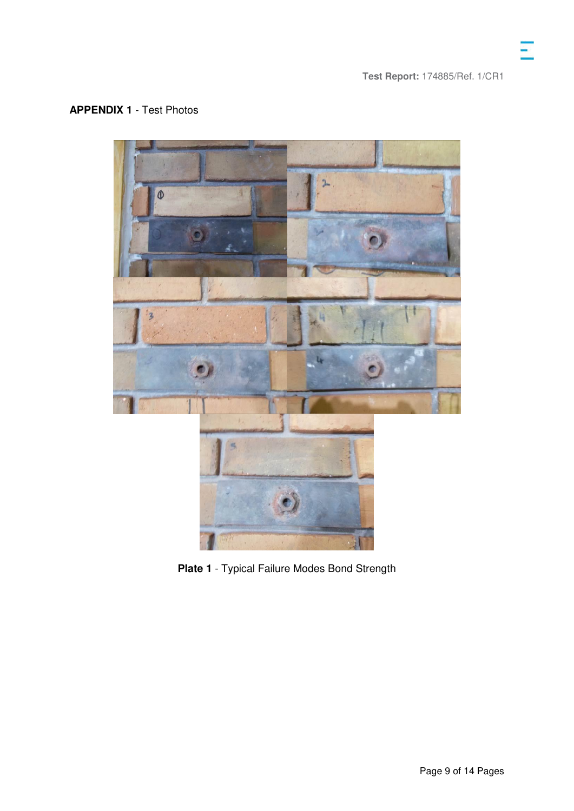# **APPENDIX 1** - Test Photos



**Plate 1** - Typical Failure Modes Bond Strength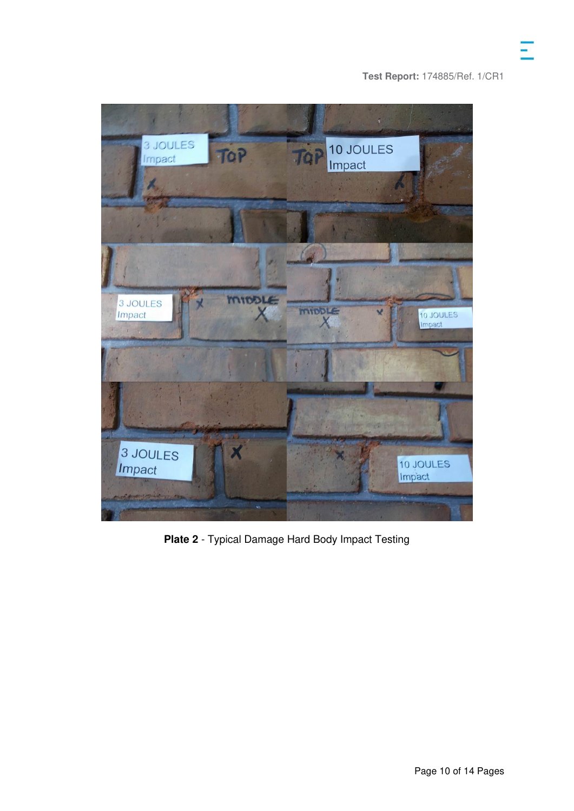

**Plate 2** - Typical Damage Hard Body Impact Testing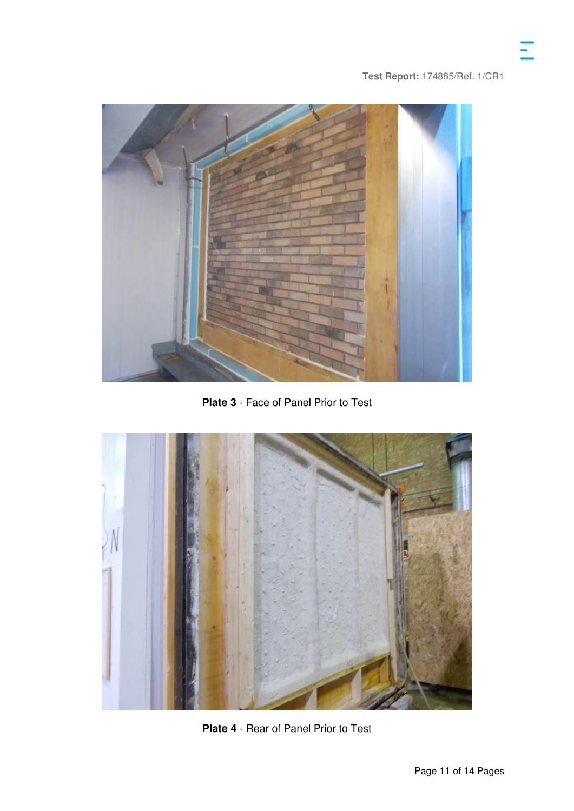

**Plate 3** - Face of Panel Prior to Test



**Plate 4** - Rear of Panel Prior to Test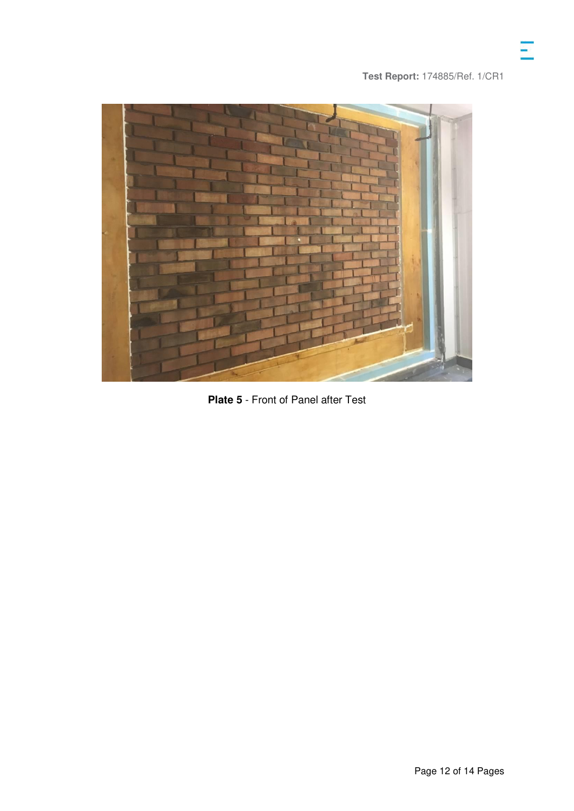

**Plate 5** - Front of Panel after Test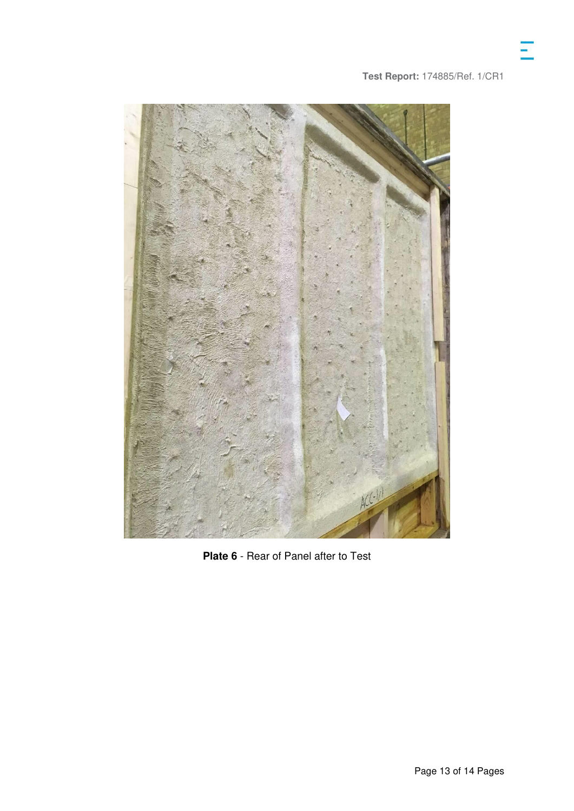

**Plate 6** - Rear of Panel after to Test